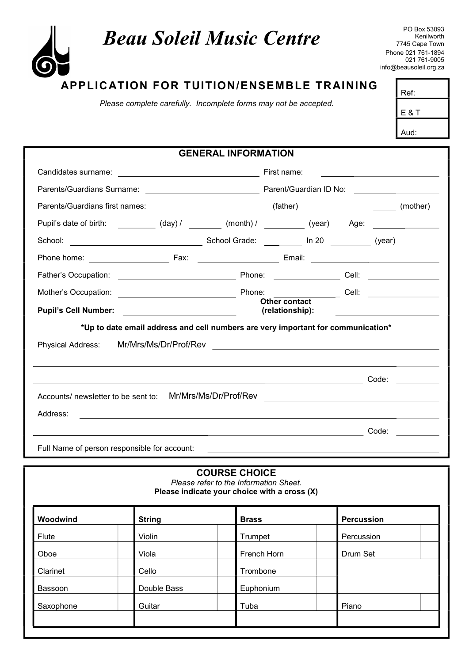## Beau Soleil Music Centre

Kenilworth 7745 Cape Town Phone 021 761-1894 021 761-9005 info@beausoleil.org.za

Ref:

E & T

## APPLICATION FOR TUITION/ENSEMBLE TRAINING

Please complete carefully. Incomplete forms may not be accepted.

|                                                                                                                      |                                                                                                                      |                                                            | Aud:                                                                                                                 |  |
|----------------------------------------------------------------------------------------------------------------------|----------------------------------------------------------------------------------------------------------------------|------------------------------------------------------------|----------------------------------------------------------------------------------------------------------------------|--|
|                                                                                                                      | <b>GENERAL INFORMATION</b>                                                                                           |                                                            |                                                                                                                      |  |
|                                                                                                                      |                                                                                                                      |                                                            | <u> 1989 - Johann John Stein, markin film fan it ferstjer fan it ferstjer fan it ferstjer fan it ferstjer fan it</u> |  |
|                                                                                                                      |                                                                                                                      |                                                            |                                                                                                                      |  |
| Parents/Guardians first names:                                                                                       |                                                                                                                      | (mother)                                                   |                                                                                                                      |  |
| Pupil's date of birth: ___________ (day) / ________ (month) / _________ (year) Age: _______________                  |                                                                                                                      |                                                            |                                                                                                                      |  |
| School Grade: Management 20 (year)<br>School:                                                                        |                                                                                                                      |                                                            |                                                                                                                      |  |
|                                                                                                                      |                                                                                                                      |                                                            |                                                                                                                      |  |
|                                                                                                                      |                                                                                                                      |                                                            |                                                                                                                      |  |
|                                                                                                                      |                                                                                                                      |                                                            |                                                                                                                      |  |
| Pupil's Cell Number: _________________________                                                                       |                                                                                                                      | Other contact<br>(relationship):                           | <u> 1980 - Andrea Andrew Maria (h. 1980).</u>                                                                        |  |
| *Up to date email address and cell numbers are very important for communication*                                     |                                                                                                                      |                                                            |                                                                                                                      |  |
| Mr/Mrs/Ms/Dr/Prof/Rev<br>Physical Address:                                                                           |                                                                                                                      | <u> 1980 - Johann John Stein, fransk politik (f. 1980)</u> |                                                                                                                      |  |
|                                                                                                                      |                                                                                                                      |                                                            |                                                                                                                      |  |
| <u> 2002 - Andrea Station Barbara, amerikan personal di sebagai personal di sebagai personal di sebagai personal</u> |                                                                                                                      |                                                            | Code:                                                                                                                |  |
|                                                                                                                      |                                                                                                                      |                                                            |                                                                                                                      |  |
| Address:                                                                                                             | <u> 1980 - Andrea Andrea Andrea Andrea Andrea Andrea Andrea Andrea Andrea Andrea Andrea Andrea Andrea Andrea And</u> |                                                            |                                                                                                                      |  |
|                                                                                                                      | <u> 1989 - Johann Stein, mars an deutscher Stein († 1958)</u>                                                        |                                                            | Code:                                                                                                                |  |
| Full Name of person responsible for account:                                                                         |                                                                                                                      |                                                            |                                                                                                                      |  |

## COURSE CHOICE Please refer to the Information Sheet. Please indicate your choice with a cross (X) Woodwind String Brass Percussion Flute | Violin | Trumpet | Percussion Oboe Viola Viola **French Horn Drum Set** Clarinet Cello Cello Trombone Bassoon **Double Bass Euphonium** Saxophone | Guitar | Tuba | Piano